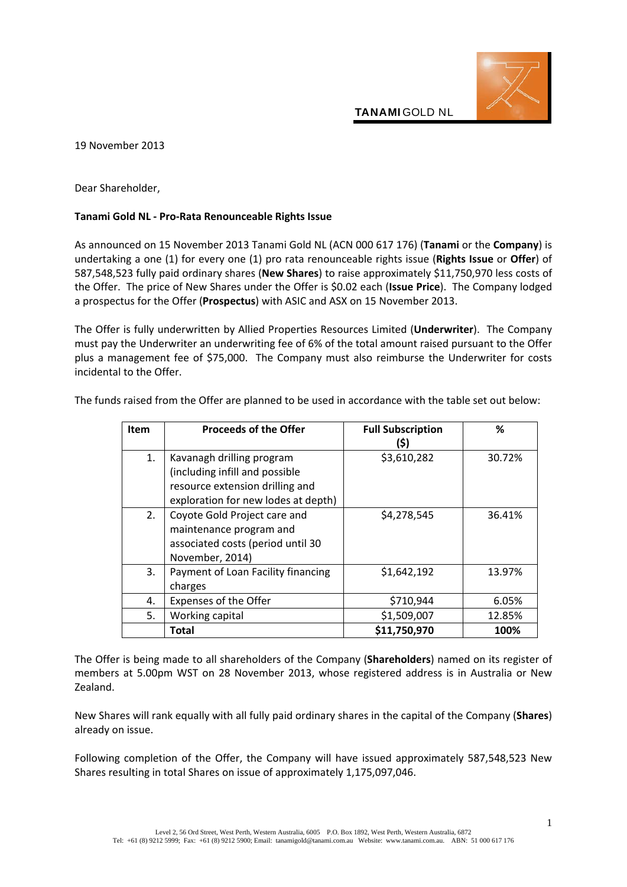

19 November 2013

Dear Shareholder,

## **Tanami Gold NL - Pro-Rata Renounceable Rights Issue**

As announced on 15 November 2013 Tanami Gold NL (ACN 000 617 176) (**Tanami** or the **Company**) is undertaking a one (1) for every one (1) pro rata renounceable rights issue (**Rights Issue** or **Offer**) of 587,548,523 fully paid ordinary shares (**New Shares**) to raise approximately \$11,750,970 less costs of the Offer. The price of New Shares under the Offer is \$0.02 each (**Issue Price**). The Company lodged a prospectus for the Offer (**Prospectus**) with ASIC and ASX on 15 November 2013.

The Offer is fully underwritten by Allied Properties Resources Limited (**Underwriter**). The Company must pay the Underwriter an underwriting fee of 6% of the total amount raised pursuant to the Offer plus a management fee of \$75,000. The Company must also reimburse the Underwriter for costs incidental to the Offer.

| Item | <b>Proceeds of the Offer</b>        | <b>Full Subscription</b> | ℅      |
|------|-------------------------------------|--------------------------|--------|
|      |                                     | (\$)                     |        |
| 1.   | Kavanagh drilling program           | \$3,610,282              | 30.72% |
|      | (including infill and possible      |                          |        |
|      | resource extension drilling and     |                          |        |
|      | exploration for new lodes at depth) |                          |        |
| 2.   | Coyote Gold Project care and        | \$4,278,545              | 36.41% |
|      | maintenance program and             |                          |        |
|      | associated costs (period until 30   |                          |        |
|      | November, 2014)                     |                          |        |
| 3.   | Payment of Loan Facility financing  | \$1,642,192              | 13.97% |
|      | charges                             |                          |        |
| 4.   | Expenses of the Offer               | \$710,944                | 6.05%  |
| 5.   | Working capital                     | \$1,509,007              | 12.85% |
|      | Total                               | \$11,750,970             | 100%   |

The funds raised from the Offer are planned to be used in accordance with the table set out below:

The Offer is being made to all shareholders of the Company (**Shareholders**) named on its register of members at 5.00pm WST on 28 November 2013, whose registered address is in Australia or New Zealand.

New Shares will rank equally with all fully paid ordinary shares in the capital of the Company (**Shares**) already on issue.

Following completion of the Offer, the Company will have issued approximately 587,548,523 New Shares resulting in total Shares on issue of approximately 1,175,097,046.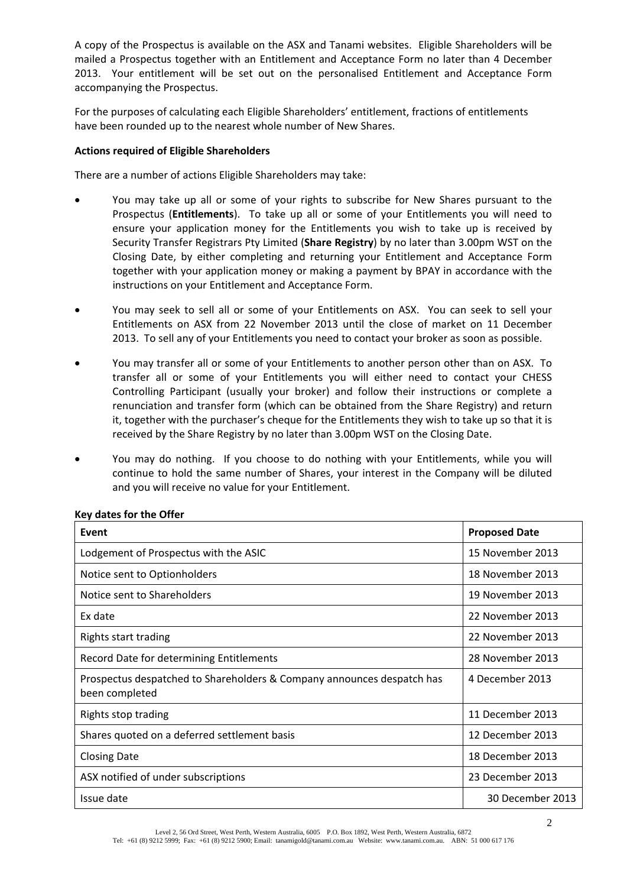A copy of the Prospectus is available on the ASX and Tanami websites. Eligible Shareholders will be mailed a Prospectus together with an Entitlement and Acceptance Form no later than 4 December 2013. Your entitlement will be set out on the personalised Entitlement and Acceptance Form accompanying the Prospectus.

For the purposes of calculating each Eligible Shareholders' entitlement, fractions of entitlements have been rounded up to the nearest whole number of New Shares.

## **Actions required of Eligible Shareholders**

There are a number of actions Eligible Shareholders may take:

- You may take up all or some of your rights to subscribe for New Shares pursuant to the Prospectus (**Entitlements**). To take up all or some of your Entitlements you will need to ensure your application money for the Entitlements you wish to take up is received by Security Transfer Registrars Pty Limited (**Share Registry**) by no later than 3.00pm WST on the Closing Date, by either completing and returning your Entitlement and Acceptance Form together with your application money or making a payment by BPAY in accordance with the instructions on your Entitlement and Acceptance Form.
- You may seek to sell all or some of your Entitlements on ASX. You can seek to sell your Entitlements on ASX from 22 November 2013 until the close of market on 11 December 2013. To sell any of your Entitlements you need to contact your broker as soon as possible.
- You may transfer all or some of your Entitlements to another person other than on ASX. To transfer all or some of your Entitlements you will either need to contact your CHESS Controlling Participant (usually your broker) and follow their instructions or complete a renunciation and transfer form (which can be obtained from the Share Registry) and return it, together with the purchaser's cheque for the Entitlements they wish to take up so that it is received by the Share Registry by no later than 3.00pm WST on the Closing Date.
- You may do nothing. If you choose to do nothing with your Entitlements, while you will continue to hold the same number of Shares, your interest in the Company will be diluted and you will receive no value for your Entitlement.

| Event                                                                                    | <b>Proposed Date</b> |
|------------------------------------------------------------------------------------------|----------------------|
| Lodgement of Prospectus with the ASIC                                                    | 15 November 2013     |
| Notice sent to Optionholders                                                             | 18 November 2013     |
| Notice sent to Shareholders                                                              | 19 November 2013     |
| Ex date                                                                                  | 22 November 2013     |
| Rights start trading                                                                     | 22 November 2013     |
| Record Date for determining Entitlements                                                 | 28 November 2013     |
| Prospectus despatched to Shareholders & Company announces despatch has<br>been completed | 4 December 2013      |
| Rights stop trading                                                                      | 11 December 2013     |
| Shares quoted on a deferred settlement basis                                             | 12 December 2013     |
| <b>Closing Date</b>                                                                      | 18 December 2013     |
| ASX notified of under subscriptions                                                      | 23 December 2013     |
| Issue date                                                                               | 30 December 2013     |

## **Key dates for the Offer**